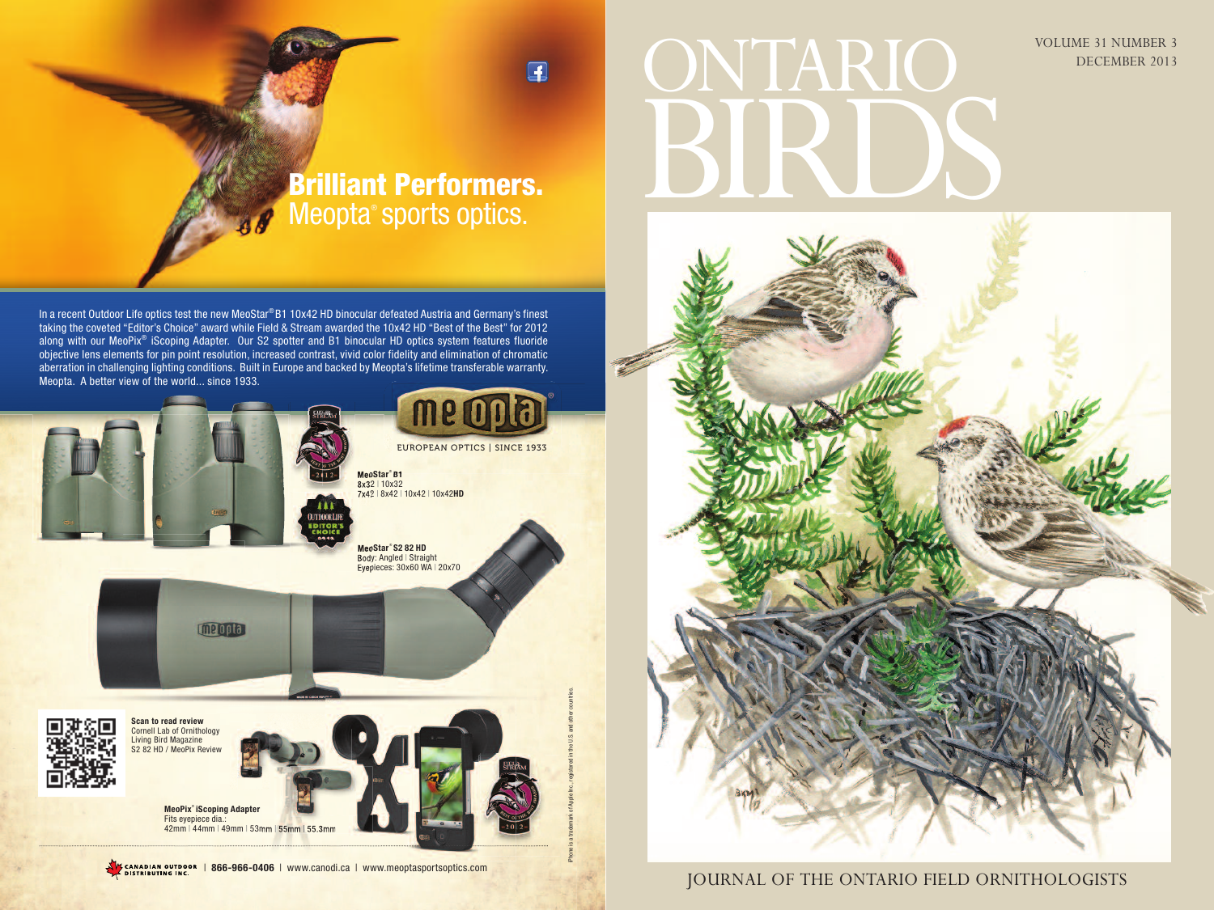VOLUME 31 NUMBER 3 DECEMBER 2013

## ONTARIO **BIRDS**

JOURNAL OF THE ONTARIO FIELD ORNITHOLOGISTS